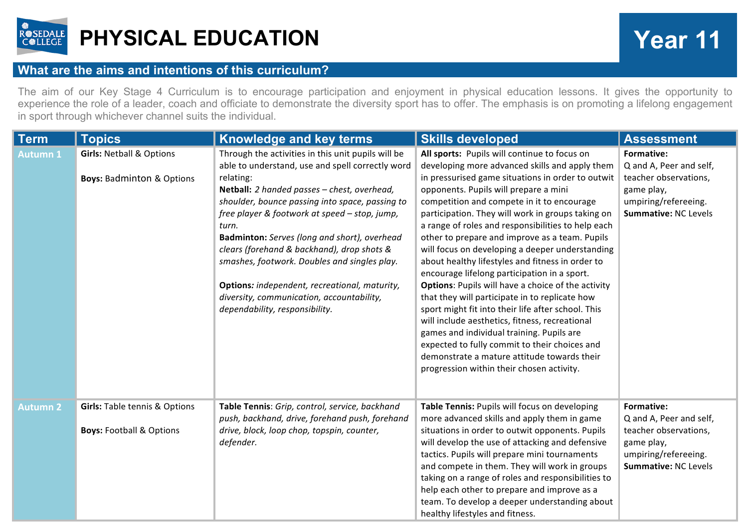

## **PHYSICAL EDUCATION Year 11**

## **What are the aims and intentions of this curriculum?**

The aim of our Key Stage 4 Curriculum is to encourage participation and enjoyment in physical education lessons. It gives the opportunity to experience the role of a leader, coach and officiate to demonstrate the diversity sport has to offer. The emphasis is on promoting a lifelong engagement in sport through whichever channel suits the individual.

| <b>Term</b>     | <b>Topics</b>                                                                   | <b>Knowledge and key terms</b>                                                                                                                                                                                                                                                                                                                                                                                                                                                                                                                                       | <b>Skills developed</b>                                                                                                                                                                                                                                                                                                                                                                                                                                                                                                                                                                                                                                                                                                                                                                                                                                                                                                                                                         | <b>Assessment</b>                                                                                                                   |
|-----------------|---------------------------------------------------------------------------------|----------------------------------------------------------------------------------------------------------------------------------------------------------------------------------------------------------------------------------------------------------------------------------------------------------------------------------------------------------------------------------------------------------------------------------------------------------------------------------------------------------------------------------------------------------------------|---------------------------------------------------------------------------------------------------------------------------------------------------------------------------------------------------------------------------------------------------------------------------------------------------------------------------------------------------------------------------------------------------------------------------------------------------------------------------------------------------------------------------------------------------------------------------------------------------------------------------------------------------------------------------------------------------------------------------------------------------------------------------------------------------------------------------------------------------------------------------------------------------------------------------------------------------------------------------------|-------------------------------------------------------------------------------------------------------------------------------------|
| <b>Autumn 1</b> | <b>Girls: Netball &amp; Options</b><br><b>Boys: Badminton &amp; Options</b>     | Through the activities in this unit pupils will be<br>able to understand, use and spell correctly word<br>relating:<br>Netball: 2 handed passes - chest, overhead,<br>shoulder, bounce passing into space, passing to<br>free player & footwork at speed - stop, jump,<br>turn.<br>Badminton: Serves (long and short), overhead<br>clears (forehand & backhand), drop shots &<br>smashes, footwork. Doubles and singles play.<br><b>Options:</b> independent, recreational, maturity,<br>diversity, communication, accountability,<br>dependability, responsibility. | All sports: Pupils will continue to focus on<br>developing more advanced skills and apply them<br>in pressurised game situations in order to outwit<br>opponents. Pupils will prepare a mini<br>competition and compete in it to encourage<br>participation. They will work in groups taking on<br>a range of roles and responsibilities to help each<br>other to prepare and improve as a team. Pupils<br>will focus on developing a deeper understanding<br>about healthy lifestyles and fitness in order to<br>encourage lifelong participation in a sport.<br><b>Options:</b> Pupils will have a choice of the activity<br>that they will participate in to replicate how<br>sport might fit into their life after school. This<br>will include aesthetics, fitness, recreational<br>games and individual training. Pupils are<br>expected to fully commit to their choices and<br>demonstrate a mature attitude towards their<br>progression within their chosen activity. | <b>Formative:</b><br>Q and A, Peer and self,<br>teacher observations,<br>game play,<br>umpiring/refereeing.<br>Summative: NC Levels |
| <b>Autumn 2</b> | <b>Girls: Table tennis &amp; Options</b><br><b>Boys: Football &amp; Options</b> | Table Tennis: Grip, control, service, backhand<br>push, backhand, drive, forehand push, forehand<br>drive, block, loop chop, topspin, counter,<br>defender.                                                                                                                                                                                                                                                                                                                                                                                                          | Table Tennis: Pupils will focus on developing<br>more advanced skills and apply them in game<br>situations in order to outwit opponents. Pupils<br>will develop the use of attacking and defensive<br>tactics. Pupils will prepare mini tournaments<br>and compete in them. They will work in groups<br>taking on a range of roles and responsibilities to<br>help each other to prepare and improve as a<br>team. To develop a deeper understanding about<br>healthy lifestyles and fitness.                                                                                                                                                                                                                                                                                                                                                                                                                                                                                   | Formative:<br>Q and A, Peer and self,<br>teacher observations,<br>game play,<br>umpiring/refereeing.<br><b>Summative: NC Levels</b> |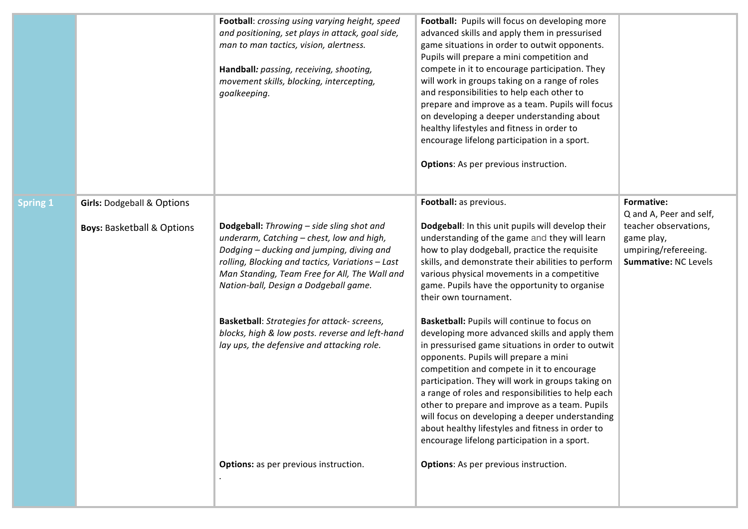|                 |                                                                                | Football: crossing using varying height, speed<br>and positioning, set plays in attack, goal side,<br>man to man tactics, vision, alertness.<br>Handball: passing, receiving, shooting,<br>movement skills, blocking, intercepting,<br>goalkeeping.                                                                                                                                                                               | Football: Pupils will focus on developing more<br>advanced skills and apply them in pressurised<br>game situations in order to outwit opponents.<br>Pupils will prepare a mini competition and<br>compete in it to encourage participation. They<br>will work in groups taking on a range of roles<br>and responsibilities to help each other to<br>prepare and improve as a team. Pupils will focus<br>on developing a deeper understanding about<br>healthy lifestyles and fitness in order to<br>encourage lifelong participation in a sport.<br><b>Options:</b> As per previous instruction. |                                                                                                                                     |
|-----------------|--------------------------------------------------------------------------------|-----------------------------------------------------------------------------------------------------------------------------------------------------------------------------------------------------------------------------------------------------------------------------------------------------------------------------------------------------------------------------------------------------------------------------------|--------------------------------------------------------------------------------------------------------------------------------------------------------------------------------------------------------------------------------------------------------------------------------------------------------------------------------------------------------------------------------------------------------------------------------------------------------------------------------------------------------------------------------------------------------------------------------------------------|-------------------------------------------------------------------------------------------------------------------------------------|
| <b>Spring 1</b> | <b>Girls: Dodgeball &amp; Options</b><br><b>Boys: Basketball &amp; Options</b> | Dodgeball: Throwing - side sling shot and<br>underarm, Catching - chest, low and high,<br>Dodging - ducking and jumping, diving and<br>rolling, Blocking and tactics, Variations - Last<br>Man Standing, Team Free for All, The Wall and<br>Nation-ball, Design a Dodgeball game.<br>Basketball: Strategies for attack- screens,<br>blocks, high & low posts. reverse and left-hand<br>lay ups, the defensive and attacking role. | Football: as previous.<br>Dodgeball: In this unit pupils will develop their<br>understanding of the game and they will learn<br>how to play dodgeball, practice the requisite<br>skills, and demonstrate their abilities to perform<br>various physical movements in a competitive<br>game. Pupils have the opportunity to organise<br>their own tournament.<br>Basketball: Pupils will continue to focus on<br>developing more advanced skills and apply them<br>in pressurised game situations in order to outwit                                                                              | Formative:<br>Q and A, Peer and self,<br>teacher observations,<br>game play,<br>umpiring/refereeing.<br><b>Summative: NC Levels</b> |
|                 |                                                                                | <b>Options:</b> as per previous instruction.                                                                                                                                                                                                                                                                                                                                                                                      | opponents. Pupils will prepare a mini<br>competition and compete in it to encourage<br>participation. They will work in groups taking on<br>a range of roles and responsibilities to help each<br>other to prepare and improve as a team. Pupils<br>will focus on developing a deeper understanding<br>about healthy lifestyles and fitness in order to<br>encourage lifelong participation in a sport.<br><b>Options:</b> As per previous instruction.                                                                                                                                          |                                                                                                                                     |